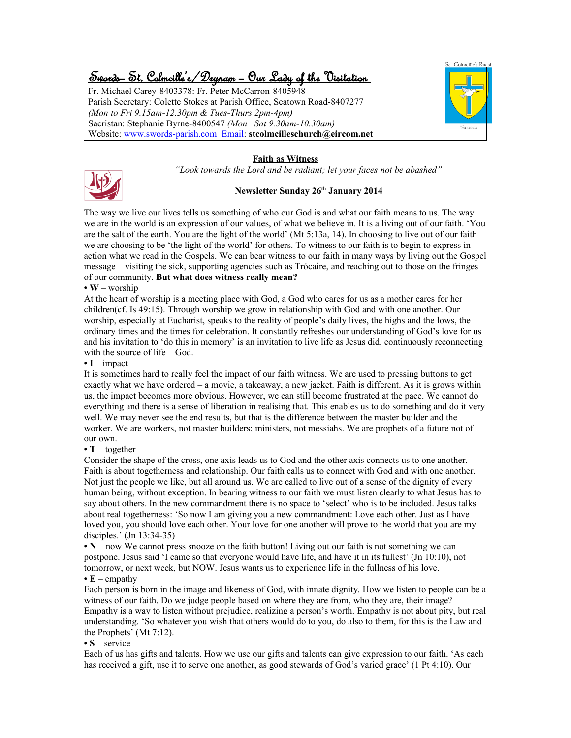# Swords – St. Colmcille's /Drynam – Our Lady of the Visitation

Fr. Michael Carey-8403378: Fr. Peter McCarron-8405948 Parish Secretary: Colette Stokes at Parish Office, Seatown Road-8407277 *(Mon to Fri 9.15am-12.30pm & Tues-Thurs 2pm-4pm)* Sacristan: Stephanie Byrne-8400547 *(Mon –Sat 9.30am-10.30am)* Website: www.swords-parish.com Email: **stcolmcilleschurch@eircom.net**



### **Faith as Witness**

*"Look towards the Lord and be radiant; let your faces not be abashed"*



### **Newsletter Sunday 26th January 2014**

The way we live our lives tells us something of who our God is and what our faith means to us. The way we are in the world is an expression of our values, of what we believe in. It is a living out of our faith. 'You are the salt of the earth. You are the light of the world' (Mt 5:13a, 14). In choosing to live out of our faith we are choosing to be 'the light of the world' for others. To witness to our faith is to begin to express in action what we read in the Gospels. We can bear witness to our faith in many ways by living out the Gospel message – visiting the sick, supporting agencies such as Trócaire, and reaching out to those on the fringes of our community. **But what does witness really mean?**

#### **• W** – worship

At the heart of worship is a meeting place with God, a God who cares for us as a mother cares for her children(cf. Is 49:15). Through worship we grow in relationship with God and with one another. Our worship, especially at Eucharist, speaks to the reality of people's daily lives, the highs and the lows, the ordinary times and the times for celebration. It constantly refreshes our understanding of God's love for us and his invitation to 'do this in memory' is an invitation to live life as Jesus did, continuously reconnecting with the source of life – God.

#### **• I** – impact

It is sometimes hard to really feel the impact of our faith witness. We are used to pressing buttons to get exactly what we have ordered – a movie, a takeaway, a new jacket. Faith is different. As it is grows within us, the impact becomes more obvious. However, we can still become frustrated at the pace. We cannot do everything and there is a sense of liberation in realising that. This enables us to do something and do it very well. We may never see the end results, but that is the difference between the master builder and the worker. We are workers, not master builders; ministers, not messiahs. We are prophets of a future not of our own.

#### **• T** – together

Consider the shape of the cross, one axis leads us to God and the other axis connects us to one another. Faith is about togetherness and relationship. Our faith calls us to connect with God and with one another. Not just the people we like, but all around us. We are called to live out of a sense of the dignity of every human being, without exception. In bearing witness to our faith we must listen clearly to what Jesus has to say about others. In the new commandment there is no space to 'select' who is to be included. Jesus talks about real togetherness: 'So now I am giving you a new commandment: Love each other. Just as I have loved you, you should love each other. Your love for one another will prove to the world that you are my disciples.' (Jn 13:34-35)

**• N** – now We cannot press snooze on the faith button! Living out our faith is not something we can postpone. Jesus said 'I came so that everyone would have life, and have it in its fullest' (Jn 10:10), not tomorrow, or next week, but NOW. Jesus wants us to experience life in the fullness of his love. **• E** – empathy

Each person is born in the image and likeness of God, with innate dignity. How we listen to people can be a witness of our faith. Do we judge people based on where they are from, who they are, their image? Empathy is a way to listen without prejudice, realizing a person's worth. Empathy is not about pity, but real understanding. 'So whatever you wish that others would do to you, do also to them, for this is the Law and the Prophets' (Mt 7:12).

#### **• S** – service

Each of us has gifts and talents. How we use our gifts and talents can give expression to our faith. 'As each has received a gift, use it to serve one another, as good stewards of God's varied grace' (1 Pt 4:10). Our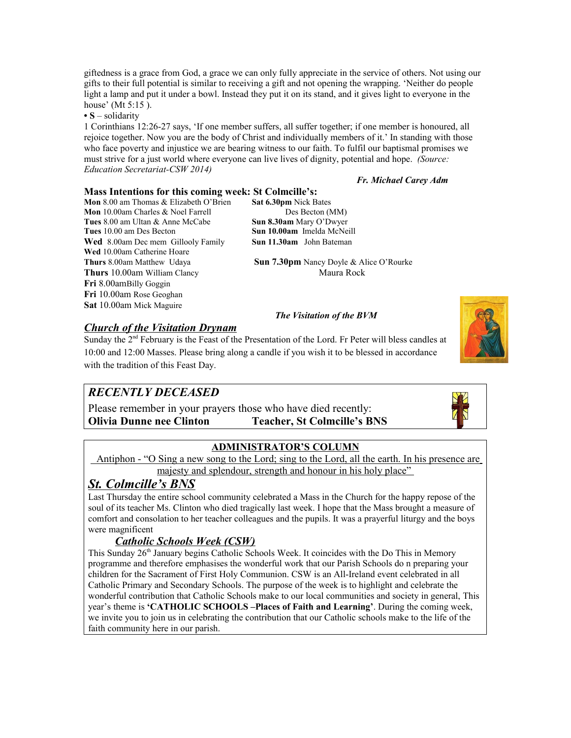giftedness is a grace from God, a grace we can only fully appreciate in the service of others. Not using our gifts to their full potential is similar to receiving a gift and not opening the wrapping. 'Neither do people light a lamp and put it under a bowl. Instead they put it on its stand, and it gives light to everyone in the house' (Mt 5:15 ).

**• S** – solidarity

1 Corinthians 12:26-27 says, 'If one member suffers, all suffer together; if one member is honoured, all rejoice together. Now you are the body of Christ and individually members of it.' In standing with those who face poverty and injustice we are bearing witness to our faith. To fulfil our baptismal promises we must strive for a just world where everyone can live lives of dignity, potential and hope. *(Source: Education Secretariat-CSW 2014)*

#### *Fr. Michael Carey Adm*

### **Mass Intentions for this coming week: St Colmcille's:**

**Mon** 8.00 am Thomas & Elizabeth O'Brien **Sat 6.30pm** Nick Bates **Mon** 10.00am Charles & Noel Farrell Des Becton (MM) **Tues** 8.00 am Ultan & Anne McCabe **Sun 8.30am** Mary O'Dwyer **Tues** 10.00 am Des Becton **Sun 10.00am** Imelda McNeill Wed 8.00am Dec mem Gillooly Family **Sun 11.30am** John Bateman **Wed** 10.00am Catherine Hoare **Thurs** 10.00am William Clancy Maura Rock **Fri** 8.00amBilly Goggin **Fri** 10.00am Rose Geoghan **Sat** 10.00am Mick Maguire

**Thurs** 8.00am Matthew Udaya **Sun 7.30pm** Nancy Doyle & Alice O'Rourke

### *The Visitation of the BVM*



*Church of the Visitation Drynam*

Sunday the 2<sup>nd</sup> February is the Feast of the Presentation of the Lord. Fr Peter will bless candles at 10:00 and 12:00 Masses. Please bring along a candle if you wish it to be blessed in accordance with the tradition of this Feast Day.

## *RECENTLY DECEASED*

Please remember in your prayers those who have died recently: **Olivia Dunne nee Clinton Teacher, St Colmcille's BNS**



### **ADMINISTRATOR'S COLUMN**

 Antiphon - "O Sing a new song to the Lord; sing to the Lord, all the earth. In his presence are majesty and splendour, strength and honour in his holy place"

### *St. Colmcille's BNS*

Last Thursday the entire school community celebrated a Mass in the Church for the happy repose of the soul of its teacher Ms. Clinton who died tragically last week. I hope that the Mass brought a measure of comfort and consolation to her teacher colleagues and the pupils. It was a prayerful liturgy and the boys were magnificent

### *Catholic Schools Week (CSW)*

This Sunday 26<sup>th</sup> January begins Catholic Schools Week. It coincides with the Do This in Memory programme and therefore emphasises the wonderful work that our Parish Schools do n preparing your children for the Sacrament of First Holy Communion. CSW is an All-Ireland event celebrated in all Catholic Primary and Secondary Schools. The purpose of the week is to highlight and celebrate the wonderful contribution that Catholic Schools make to our local communities and society in general, This year's theme is **'CATHOLIC SCHOOLS –Places of Faith and Learning'**. During the coming week, we invite you to join us in celebrating the contribution that our Catholic schools make to the life of the faith community here in our parish.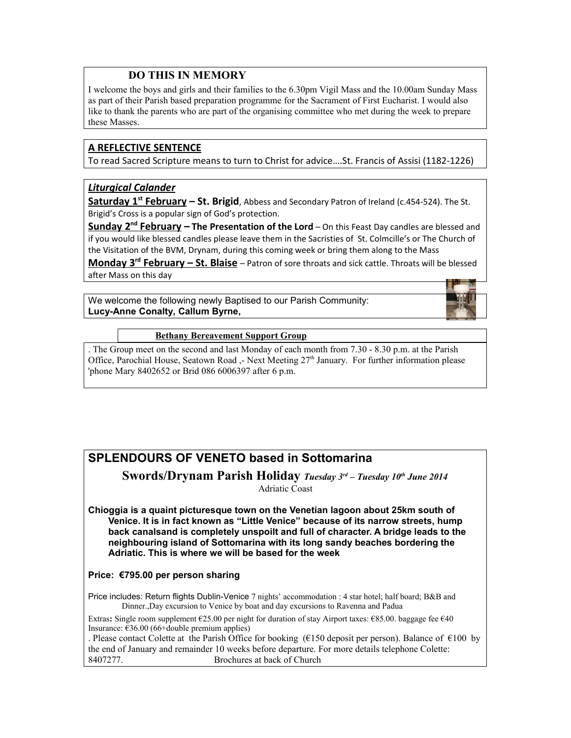### **DO THIS IN MEMORY**

I welcome the boys and girls and their families to the 6.30pm Vigil Mass and the 10.00am Sunday Mass as part of their Parish based preparation programme for the Sacrament of First Eucharist. I would also like to thank the parents who are part of the organising committee who met during the week to prepare these Masses.

### **A REFLECTIVE SENTENCE**

To read Sacred Scripture means to turn to Christ for advice….St. Francis of Assisi (1182-1226)

### *Liturgical Calander*

 **Saturday 1st February – St. Brigid**, Abbess and Secondary Patron of Ireland (c.454-524). The St. Brigid's Cross is a popular sign of God's protection.

 **Sunday 2nd February – The Presentation of the Lord** – On this Feast Day candles are blessed and if you would like blessed candles please leave them in the Sacristies of St. Colmcille's or The Church of the Visitation of the BVM, Drynam, during this coming week or bring them along to the Mass

 **Monday 3rd February – St. Blaise** – Patron of sore throats and sick cattle. Throats will be blessed after Mass on this day

We welcome the following newly Baptised to our Parish Community: **Lucy-Anne Conalty, Callum Byrne,** 



### **Bethany Bereavement Support Group**

. The Group meet on the second and last Monday of each month from 7.30 - 8.30 p.m. at the Parish Office, Parochial House, Seatown Road ,- Next Meeting  $27<sup>th</sup>$  January. For further information please 'phone Mary 8402652 or Brid 086 6006397 after 6 p.m.

# **SPLENDOURS OF VENETO based in Sottomarina**

**Swords/Drynam Parish Holiday** *Tuesday 3rd – Tuesday 10th June 2014* Adriatic Coast

**Chioggia is a quaint picturesque town on the Venetian lagoon about 25km south of Venice. It is in fact known as "Little Venice" because of its narrow streets, hump back canalsand is completely unspoilt and full of character. A bridge leads to the neighbouring island of Sottomarina with its long sandy beaches bordering the Adriatic. This is where we will be based for the week**

### **Price: €795.00 per person sharing**

Price includes: Return flights Dublin-Venice 7 nights' accommodation : 4 star hotel; half board; B&B and Dinner.,Day excursion to Venice by boat and day excursions to Ravenna and Padua

Extras**:** Single room supplement €25.00 per night for duration of stay Airport taxes: €85.00. baggage fee €40 Insurance:  $\epsilon$ 36.00 (66+double premium applies)

. Please contact Colette at the Parish Office for booking (€150 deposit per person). Balance of €100 by the end of January and remainder 10 weeks before departure. For more details telephone Colette: 8407277. Brochures at back of Church